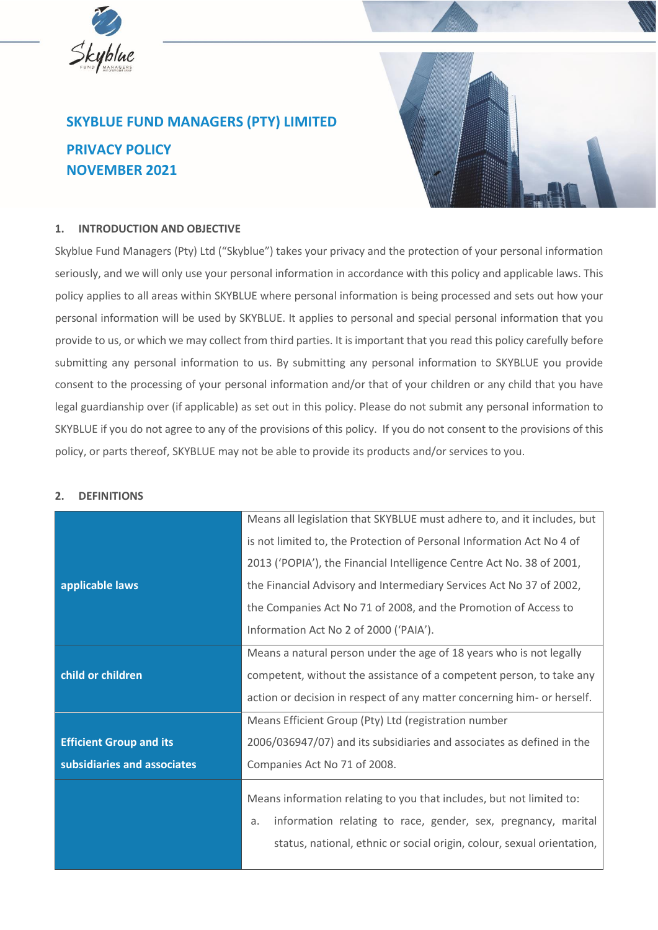

# **SKYBLUE FUND MANAGERS (PTY) LIMITED PRIVACY POLICY NOVEMBER 2021**



## **1. INTRODUCTION AND OBJECTIVE**

Skyblue Fund Managers (Pty) Ltd ("Skyblue") takes your privacy and the protection of your personal information seriously, and we will only use your personal information in accordance with this policy and applicable laws. This policy applies to all areas within SKYBLUE where personal information is being processed and sets out how your personal information will be used by SKYBLUE. It applies to personal and special personal information that you provide to us, or which we may collect from third parties. It is important that you read this policy carefully before submitting any personal information to us. By submitting any personal information to SKYBLUE you provide consent to the processing of your personal information and/or that of your children or any child that you have legal guardianship over (if applicable) as set out in this policy. Please do not submit any personal information to SKYBLUE if you do not agree to any of the provisions of this policy. If you do not consent to the provisions of this policy, or parts thereof, SKYBLUE may not be able to provide its products and/or services to you.

#### **2. DEFINITIONS**

|                                | Means all legislation that SKYBLUE must adhere to, and it includes, but                                                                                                                                               |
|--------------------------------|-----------------------------------------------------------------------------------------------------------------------------------------------------------------------------------------------------------------------|
|                                | is not limited to, the Protection of Personal Information Act No 4 of                                                                                                                                                 |
|                                | 2013 ('POPIA'), the Financial Intelligence Centre Act No. 38 of 2001,                                                                                                                                                 |
| applicable laws                | the Financial Advisory and Intermediary Services Act No 37 of 2002,                                                                                                                                                   |
|                                | the Companies Act No 71 of 2008, and the Promotion of Access to                                                                                                                                                       |
|                                | Information Act No 2 of 2000 ('PAIA').                                                                                                                                                                                |
|                                | Means a natural person under the age of 18 years who is not legally                                                                                                                                                   |
| child or children              | competent, without the assistance of a competent person, to take any                                                                                                                                                  |
|                                | action or decision in respect of any matter concerning him- or herself.                                                                                                                                               |
|                                | Means Efficient Group (Pty) Ltd (registration number                                                                                                                                                                  |
| <b>Efficient Group and its</b> | 2006/036947/07) and its subsidiaries and associates as defined in the                                                                                                                                                 |
| subsidiaries and associates    | Companies Act No 71 of 2008.                                                                                                                                                                                          |
|                                | Means information relating to you that includes, but not limited to:<br>information relating to race, gender, sex, pregnancy, marital<br>a.<br>status, national, ethnic or social origin, colour, sexual orientation, |
|                                |                                                                                                                                                                                                                       |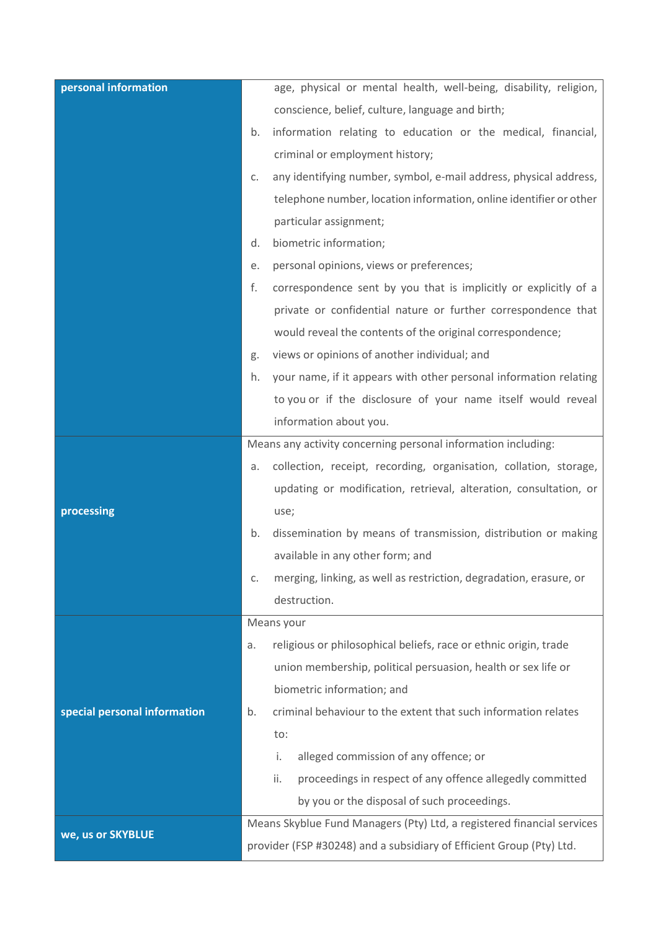| personal information         | age, physical or mental health, well-being, disability, religion,        |
|------------------------------|--------------------------------------------------------------------------|
|                              | conscience, belief, culture, language and birth;                         |
|                              | information relating to education or the medical, financial,<br>b.       |
|                              | criminal or employment history;                                          |
|                              | any identifying number, symbol, e-mail address, physical address,<br>C.  |
|                              | telephone number, location information, online identifier or other       |
|                              | particular assignment;                                                   |
|                              | biometric information;<br>d.                                             |
|                              | personal opinions, views or preferences;<br>е.                           |
|                              | correspondence sent by you that is implicitly or explicitly of a<br>f.   |
|                              | private or confidential nature or further correspondence that            |
|                              | would reveal the contents of the original correspondence;                |
|                              | views or opinions of another individual; and<br>g.                       |
|                              | your name, if it appears with other personal information relating<br>h.  |
|                              | to you or if the disclosure of your name itself would reveal             |
|                              | information about you.                                                   |
|                              | Means any activity concerning personal information including:            |
|                              | collection, receipt, recording, organisation, collation, storage,<br>a.  |
|                              | updating or modification, retrieval, alteration, consultation, or        |
| processing                   | use;                                                                     |
|                              | dissemination by means of transmission, distribution or making<br>b.     |
|                              | available in any other form; and                                         |
|                              | merging, linking, as well as restriction, degradation, erasure, or<br>C. |
|                              | destruction.                                                             |
|                              | Means your                                                               |
|                              | religious or philosophical beliefs, race or ethnic origin, trade<br>a.   |
|                              | union membership, political persuasion, health or sex life or            |
|                              | biometric information; and                                               |
| special personal information | criminal behaviour to the extent that such information relates<br>b.     |
|                              | to:                                                                      |
|                              | alleged commission of any offence; or<br>i.                              |
|                              | ii.<br>proceedings in respect of any offence allegedly committed         |
|                              | by you or the disposal of such proceedings.                              |
| we, us or SKYBLUE            | Means Skyblue Fund Managers (Pty) Ltd, a registered financial services   |
|                              | provider (FSP #30248) and a subsidiary of Efficient Group (Pty) Ltd.     |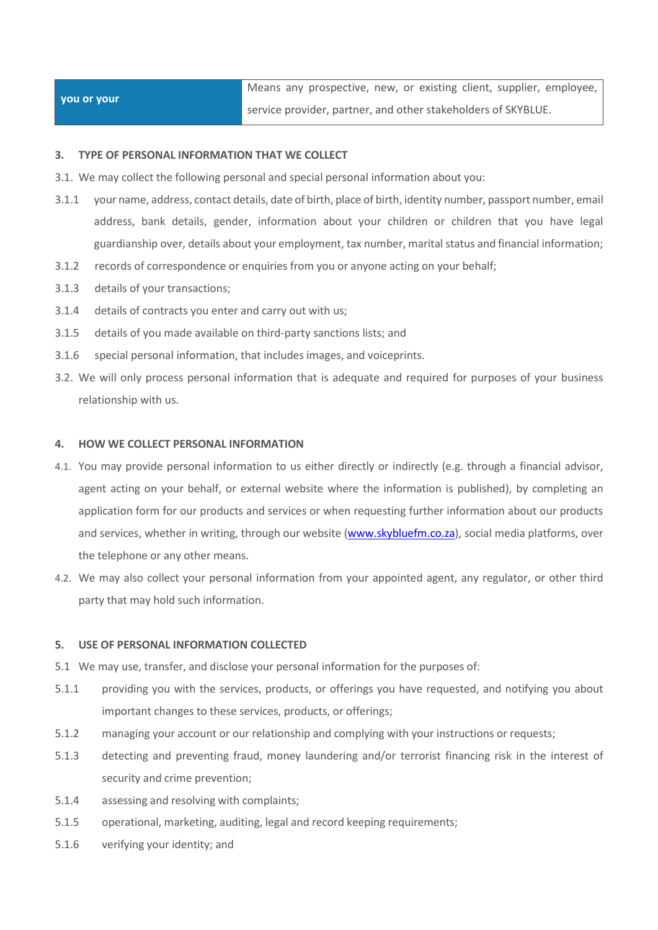| you or your | Means any prospective, new, or existing client, supplier, employee, |
|-------------|---------------------------------------------------------------------|
|             | Service provider, partner, and other stakeholders of SKYBLUE.       |

## **3. TYPE OF PERSONAL INFORMATION THAT WE COLLECT**

- 3.1. We may collect the following personal and special personal information about you:
- 3.1.1 your name, address, contact details, date of birth, place of birth, identity number, passport number, email address, bank details, gender, information about your children or children that you have legal guardianship over, details about your employment, tax number, marital status and financial information;
- 3.1.2 records of correspondence or enquiries from you or anyone acting on your behalf;
- 3.1.3 details of your transactions;
- 3.1.4 details of contracts you enter and carry out with us;
- 3.1.5 details of you made available on third-party sanctions lists; and
- 3.1.6 special personal information, that includes images, and voiceprints.
- 3.2. We will only process personal information that is adequate and required for purposes of your business relationship with us.

### **4. HOW WE COLLECT PERSONAL INFORMATION**

- 4.1. You may provide personal information to us either directly or indirectly (e.g. through a financial advisor, agent acting on your behalf, or external website where the information is published), by completing an application form for our products and services or when requesting further information about our products and services, whether in writing, through our website [\(www.skybluefm.co.za\)](http://www.skybluefm.co.za/), social media platforms, over the telephone or any other means.
- 4.2. We may also collect your personal information from your appointed agent, any regulator, or other third party that may hold such information.

#### **5. USE OF PERSONAL INFORMATION COLLECTED**

- 5.1 We may use, transfer, and disclose your personal information for the purposes of:
- 5.1.1 providing you with the services, products, or offerings you have requested, and notifying you about important changes to these services, products, or offerings;
- 5.1.2 managing your account or our relationship and complying with your instructions or requests;
- 5.1.3 detecting and preventing fraud, money laundering and/or terrorist financing risk in the interest of security and crime prevention;
- 5.1.4 assessing and resolving with complaints;
- 5.1.5 operational, marketing, auditing, legal and record keeping requirements;
- 5.1.6 verifying your identity; and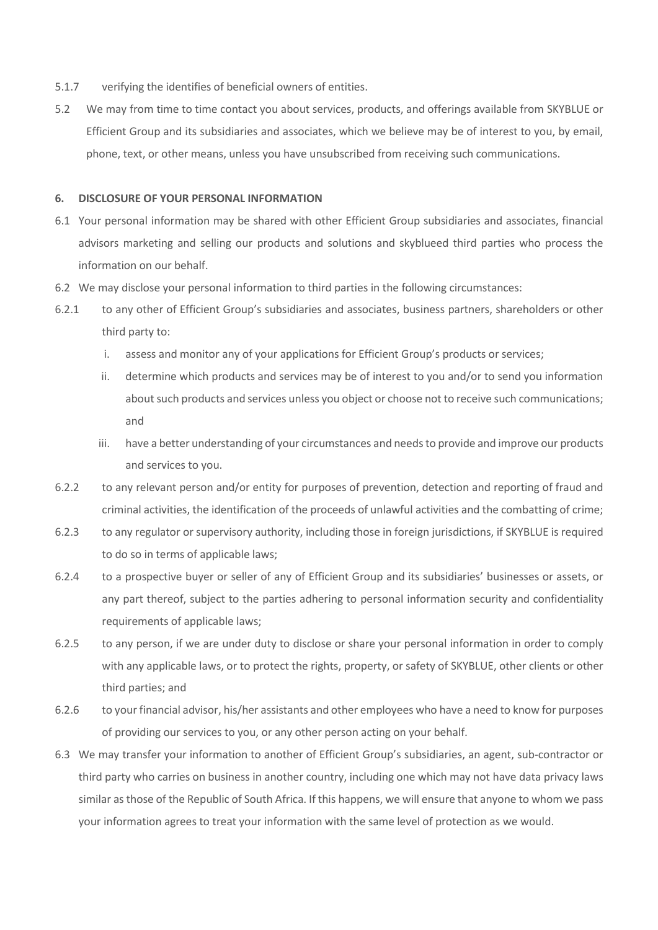- 5.1.7 verifying the identifies of beneficial owners of entities.
- 5.2 We may from time to time contact you about services, products, and offerings available from SKYBLUE or Efficient Group and its subsidiaries and associates, which we believe may be of interest to you, by email, phone, text, or other means, unless you have unsubscribed from receiving such communications.

#### **6. DISCLOSURE OF YOUR PERSONAL INFORMATION**

- 6.1 Your personal information may be shared with other Efficient Group subsidiaries and associates, financial advisors marketing and selling our products and solutions and skyblueed third parties who process the information on our behalf.
- 6.2 We may disclose your personal information to third parties in the following circumstances:
- 6.2.1 to any other of Efficient Group's subsidiaries and associates, business partners, shareholders or other third party to:
	- i. assess and monitor any of your applications for Efficient Group's products or services;
	- ii. determine which products and services may be of interest to you and/or to send you information about such products and services unless you object or choose not to receive such communications; and
	- iii. have a better understanding of your circumstances and needs to provide and improve our products and services to you.
- 6.2.2 to any relevant person and/or entity for purposes of prevention, detection and reporting of fraud and criminal activities, the identification of the proceeds of unlawful activities and the combatting of crime;
- 6.2.3 to any regulator or supervisory authority, including those in foreign jurisdictions, if SKYBLUE is required to do so in terms of applicable laws;
- 6.2.4 to a prospective buyer or seller of any of Efficient Group and its subsidiaries' businesses or assets, or any part thereof, subject to the parties adhering to personal information security and confidentiality requirements of applicable laws;
- 6.2.5 to any person, if we are under duty to disclose or share your personal information in order to comply with any applicable laws, or to protect the rights, property, or safety of SKYBLUE, other clients or other third parties; and
- 6.2.6 to your financial advisor, his/her assistants and other employees who have a need to know for purposes of providing our services to you, or any other person acting on your behalf.
- 6.3 We may transfer your information to another of Efficient Group's subsidiaries, an agent, sub-contractor or third party who carries on business in another country, including one which may not have data privacy laws similar as those of the Republic of South Africa. If this happens, we will ensure that anyone to whom we pass your information agrees to treat your information with the same level of protection as we would.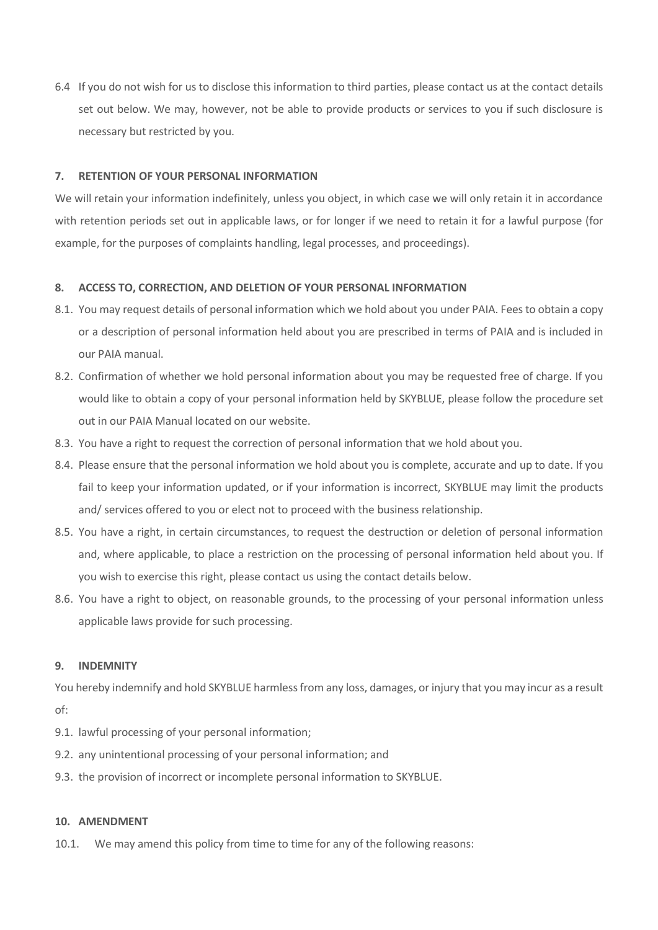6.4 If you do not wish for us to disclose this information to third parties, please contact us at the contact details set out below. We may, however, not be able to provide products or services to you if such disclosure is necessary but restricted by you.

## **7. RETENTION OF YOUR PERSONAL INFORMATION**

We will retain your information indefinitely, unless you object, in which case we will only retain it in accordance with retention periods set out in applicable laws, or for longer if we need to retain it for a lawful purpose (for example, for the purposes of complaints handling, legal processes, and proceedings).

### **8. ACCESS TO, CORRECTION, AND DELETION OF YOUR PERSONAL INFORMATION**

- 8.1. You may request details of personal information which we hold about you under PAIA. Fees to obtain a copy or a description of personal information held about you are prescribed in terms of PAIA and is included in our PAIA manual.
- 8.2. Confirmation of whether we hold personal information about you may be requested free of charge. If you would like to obtain a copy of your personal information held by SKYBLUE, please follow the procedure set out in our PAIA Manual located on our website.
- 8.3. You have a right to request the correction of personal information that we hold about you.
- 8.4. Please ensure that the personal information we hold about you is complete, accurate and up to date. If you fail to keep your information updated, or if your information is incorrect, SKYBLUE may limit the products and/ services offered to you or elect not to proceed with the business relationship.
- 8.5. You have a right, in certain circumstances, to request the destruction or deletion of personal information and, where applicable, to place a restriction on the processing of personal information held about you. If you wish to exercise this right, please contact us using the contact details below.
- 8.6. You have a right to object, on reasonable grounds, to the processing of your personal information unless applicable laws provide for such processing.

#### **9. INDEMNITY**

You hereby indemnify and hold SKYBLUE harmless from any loss, damages, or injury that you may incur as a result of:

- 9.1. lawful processing of your personal information;
- 9.2. any unintentional processing of your personal information; and
- 9.3. the provision of incorrect or incomplete personal information to SKYBLUE.

#### **10. AMENDMENT**

10.1. We may amend this policy from time to time for any of the following reasons: